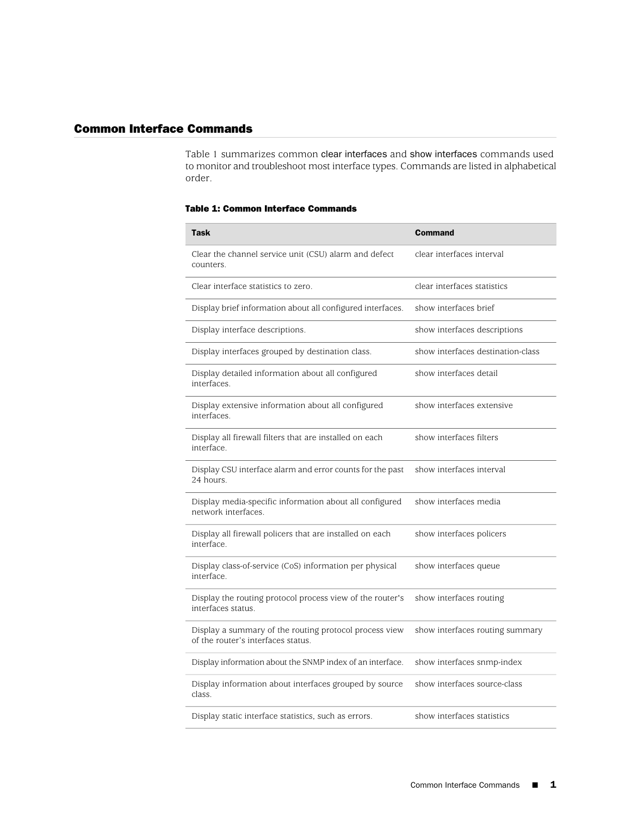## Common Interface Commands

[Table 1](#page-0-0) summarizes common clear interfaces and show interfaces commands used to monitor and troubleshoot most interface types. Commands are listed in alphabetical order.

## <span id="page-0-0"></span>Table 1: Common Interface Commands

| <b>Task</b>                                                                                  | <b>Command</b>                    |
|----------------------------------------------------------------------------------------------|-----------------------------------|
| Clear the channel service unit (CSU) alarm and defect<br>counters.                           | clear interfaces interval         |
| Clear interface statistics to zero.                                                          | clear interfaces statistics       |
| Display brief information about all configured interfaces.                                   | show interfaces brief             |
| Display interface descriptions.                                                              | show interfaces descriptions      |
| Display interfaces grouped by destination class.                                             | show interfaces destination-class |
| Display detailed information about all configured<br>interfaces.                             | show interfaces detail            |
| Display extensive information about all configured<br>interfaces.                            | show interfaces extensive         |
| Display all firewall filters that are installed on each<br>interface.                        | show interfaces filters           |
| Display CSU interface alarm and error counts for the past<br>24 hours.                       | show interfaces interval          |
| Display media-specific information about all configured<br>network interfaces.               | show interfaces media             |
| Display all firewall policers that are installed on each<br>interface.                       | show interfaces policers          |
| Display class-of-service (CoS) information per physical<br>interface.                        | show interfaces queue             |
| Display the routing protocol process view of the router's<br>interfaces status.              | show interfaces routing           |
| Display a summary of the routing protocol process view<br>of the router's interfaces status. | show interfaces routing summary   |
| Display information about the SNMP index of an interface.                                    | show interfaces snmp-index        |
| Display information about interfaces grouped by source<br>class.                             | show interfaces source-class      |
| Display static interface statistics, such as errors.                                         | show interfaces statistics        |